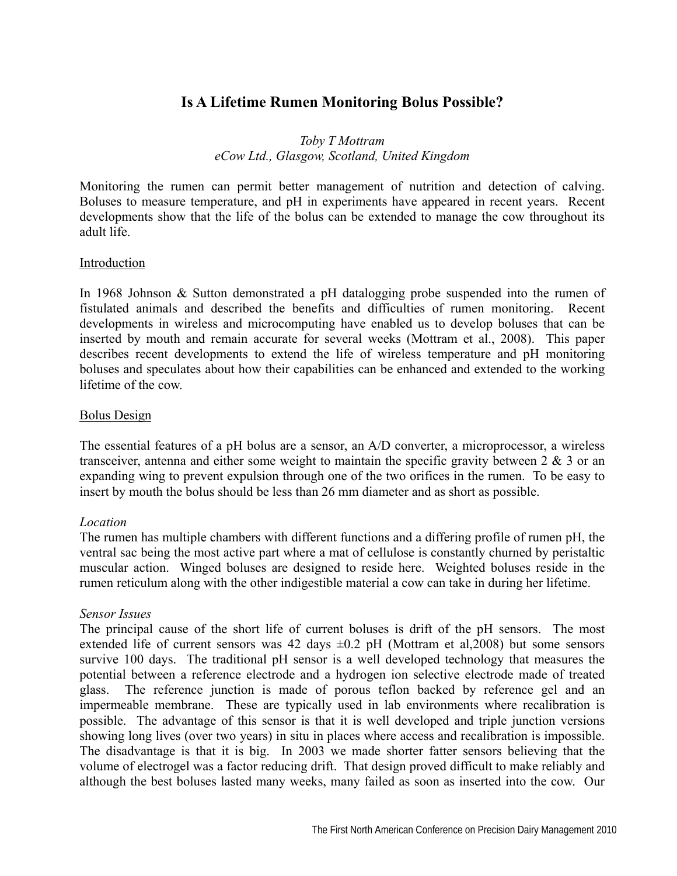# **Is A Lifetime Rumen Monitoring Bolus Possible?**

# *Toby T Mottram eCow Ltd., Glasgow, Scotland, United Kingdom*

Monitoring the rumen can permit better management of nutrition and detection of calving. Boluses to measure temperature, and pH in experiments have appeared in recent years. Recent developments show that the life of the bolus can be extended to manage the cow throughout its adult life.

# Introduction

In 1968 Johnson & Sutton demonstrated a pH datalogging probe suspended into the rumen of fistulated animals and described the benefits and difficulties of rumen monitoring. Recent developments in wireless and microcomputing have enabled us to develop boluses that can be inserted by mouth and remain accurate for several weeks (Mottram et al., 2008). This paper describes recent developments to extend the life of wireless temperature and pH monitoring boluses and speculates about how their capabilities can be enhanced and extended to the working lifetime of the cow.

### Bolus Design

The essential features of a pH bolus are a sensor, an A/D converter, a microprocessor, a wireless transceiver, antenna and either some weight to maintain the specific gravity between  $2 \& 3$  or an expanding wing to prevent expulsion through one of the two orifices in the rumen. To be easy to insert by mouth the bolus should be less than 26 mm diameter and as short as possible.

# *Location*

The rumen has multiple chambers with different functions and a differing profile of rumen pH, the ventral sac being the most active part where a mat of cellulose is constantly churned by peristaltic muscular action. Winged boluses are designed to reside here. Weighted boluses reside in the rumen reticulum along with the other indigestible material a cow can take in during her lifetime.

#### *Sensor Issues*

The principal cause of the short life of current boluses is drift of the pH sensors. The most extended life of current sensors was 42 days  $\pm 0.2$  pH (Mottram et al, 2008) but some sensors survive 100 days. The traditional pH sensor is a well developed technology that measures the potential between a reference electrode and a hydrogen ion selective electrode made of treated glass. The reference junction is made of porous teflon backed by reference gel and an impermeable membrane. These are typically used in lab environments where recalibration is possible. The advantage of this sensor is that it is well developed and triple junction versions showing long lives (over two years) in situ in places where access and recalibration is impossible. The disadvantage is that it is big. In 2003 we made shorter fatter sensors believing that the volume of electrogel was a factor reducing drift. That design proved difficult to make reliably and although the best boluses lasted many weeks, many failed as soon as inserted into the cow. Our